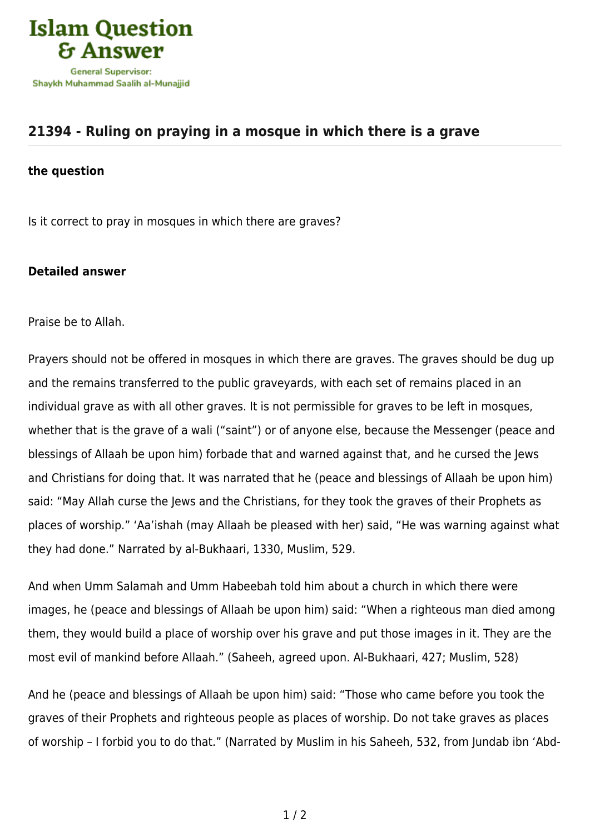

## **[21394 - Ruling on praying in a mosque in which there is a grave](https://islamqa.com/en/answers/21394/ruling-on-praying-in-a-mosque-in-which-there-is-a-grave)**

## **the question**

Is it correct to pray in mosques in which there are graves?

## **Detailed answer**

Praise be to Allah.

Prayers should not be offered in mosques in which there are graves. The graves should be dug up and the remains transferred to the public graveyards, with each set of remains placed in an individual grave as with all other graves. It is not permissible for graves to be left in mosques, whether that is the grave of a wali ("saint") or of anyone else, because the Messenger (peace and blessings of Allaah be upon him) forbade that and warned against that, and he cursed the Jews and Christians for doing that. It was narrated that he (peace and blessings of Allaah be upon him) said: "May Allah curse the Jews and the Christians, for they took the graves of their Prophets as places of worship." 'Aa'ishah (may Allaah be pleased with her) said, "He was warning against what they had done." Narrated by al-Bukhaari, 1330, Muslim, 529.

And when Umm Salamah and Umm Habeebah told him about a church in which there were images, he (peace and blessings of Allaah be upon him) said: "When a righteous man died among them, they would build a place of worship over his grave and put those images in it. They are the most evil of mankind before Allaah." (Saheeh, agreed upon. Al-Bukhaari, 427; Muslim, 528)

And he (peace and blessings of Allaah be upon him) said: "Those who came before you took the graves of their Prophets and righteous people as places of worship. Do not take graves as places of worship – I forbid you to do that." (Narrated by Muslim in his Saheeh, 532, from Jundab ibn 'Abd-